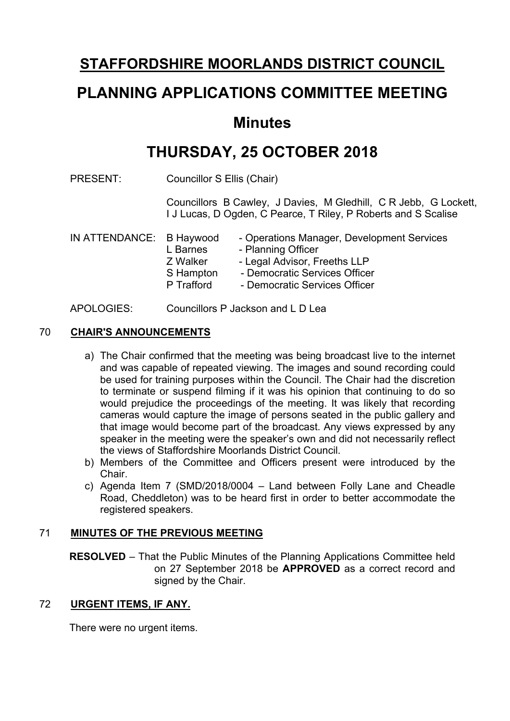# **STAFFORDSHIRE MOORLANDS DISTRICT COUNCIL**

# **PLANNING APPLICATIONS COMMITTEE MEETING**

# **Minutes**

# **THURSDAY, 25 OCTOBER 2018**

PRESENT: Councillor S Ellis (Chair)

Councillors B Cawley, J Davies, M Gledhill, C R Jebb, G Lockett, I J Lucas, D Ogden, C Pearce, T Riley, P Roberts and S Scalise

| IN ATTENDANCE: B Haywood | L Barnes<br>Z Walker | - Operations Manager, Development Services<br>- Planning Officer<br>- Legal Advisor, Freeths LLP |
|--------------------------|----------------------|--------------------------------------------------------------------------------------------------|
|                          | S Hampton            | - Democratic Services Officer                                                                    |
|                          | P Trafford           | - Democratic Services Officer                                                                    |

APOLOGIES: Councillors P Jackson and L D Lea

# 70 **CHAIR'S ANNOUNCEMENTS**

- a) The Chair confirmed that the meeting was being broadcast live to the internet and was capable of repeated viewing. The images and sound recording could be used for training purposes within the Council. The Chair had the discretion to terminate or suspend filming if it was his opinion that continuing to do so would prejudice the proceedings of the meeting. It was likely that recording cameras would capture the image of persons seated in the public gallery and that image would become part of the broadcast. Any views expressed by any speaker in the meeting were the speaker's own and did not necessarily reflect the views of Staffordshire Moorlands District Council.
- b) Members of the Committee and Officers present were introduced by the **Chair**
- c) Agenda Item 7 (SMD/2018/0004 Land between Folly Lane and Cheadle Road, Cheddleton) was to be heard first in order to better accommodate the registered speakers.

# 71 **MINUTES OF THE PREVIOUS MEETING**

**RESOLVED** – That the Public Minutes of the Planning Applications Committee held on 27 September 2018 be **APPROVED** as a correct record and signed by the Chair.

# 72 **URGENT ITEMS, IF ANY.**

There were no urgent items.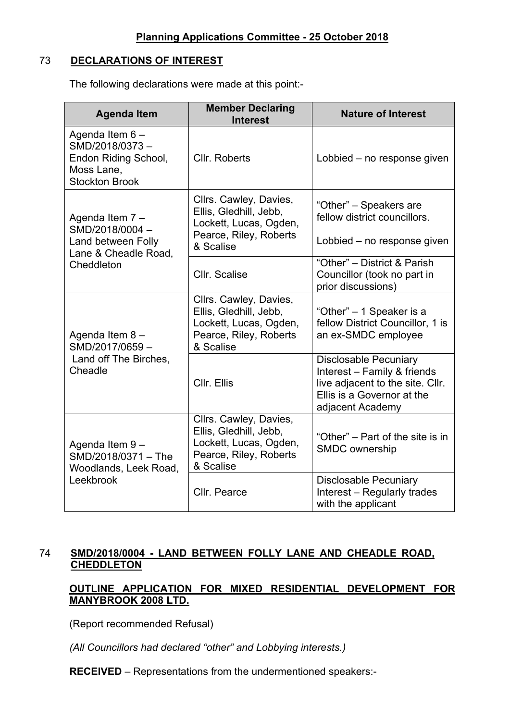### 73 **DECLARATIONS OF INTEREST**

The following declarations were made at this point:-

| <b>Agenda Item</b>                                                                               | <b>Member Declaring</b><br><b>Interest</b>                                                                        | <b>Nature of Interest</b>                                                                                                                         |  |
|--------------------------------------------------------------------------------------------------|-------------------------------------------------------------------------------------------------------------------|---------------------------------------------------------------------------------------------------------------------------------------------------|--|
| Agenda Item 6 -<br>SMD/2018/0373-<br>Endon Riding School,<br>Moss Lane,<br><b>Stockton Brook</b> | Cllr. Roberts                                                                                                     | Lobbied - no response given                                                                                                                       |  |
| Agenda Item 7-<br>SMD/2018/0004-<br>Land between Folly<br>Lane & Cheadle Road,                   | Cllrs. Cawley, Davies,<br>Ellis, Gledhill, Jebb,<br>Lockett, Lucas, Ogden,<br>Pearce, Riley, Roberts<br>& Scalise | "Other" - Speakers are<br>fellow district councillors.<br>Lobbied – no response given                                                             |  |
| Cheddleton                                                                                       | Cllr. Scalise                                                                                                     | "Other" - District & Parish<br>Councillor (took no part in<br>prior discussions)                                                                  |  |
| Agenda Item 8-<br>SMD/2017/0659-                                                                 | Cllrs. Cawley, Davies,<br>Ellis, Gledhill, Jebb,<br>Lockett, Lucas, Ogden,<br>Pearce, Riley, Roberts<br>& Scalise | "Other" – 1 Speaker is a<br>fellow District Councillor, 1 is<br>an ex-SMDC employee                                                               |  |
| Land off The Birches,<br>Cheadle                                                                 | Cllr. Ellis                                                                                                       | <b>Disclosable Pecuniary</b><br>Interest - Family & friends<br>live adjacent to the site. Cllr.<br>Ellis is a Governor at the<br>adjacent Academy |  |
| Agenda Item 9-<br>SMD/2018/0371 - The<br>Woodlands, Leek Road,                                   | Cllrs. Cawley, Davies,<br>Ellis, Gledhill, Jebb,<br>Lockett, Lucas, Ogden,<br>Pearce, Riley, Roberts<br>& Scalise | "Other" – Part of the site is in<br>SMDC ownership                                                                                                |  |
| Leekbrook                                                                                        | Cllr. Pearce                                                                                                      | <b>Disclosable Pecuniary</b><br>Interest - Regularly trades<br>with the applicant                                                                 |  |

# 74 **SMD/2018/0004 - LAND BETWEEN FOLLY LANE AND CHEADLE ROAD, CHEDDLETON**

# **OUTLINE APPLICATION FOR MIXED RESIDENTIAL DEVELOPMENT FOR MANYBROOK 2008 LTD.**

(Report recommended Refusal)

*(All Councillors had declared "other" and Lobbying interests.)*

**RECEIVED** – Representations from the undermentioned speakers:-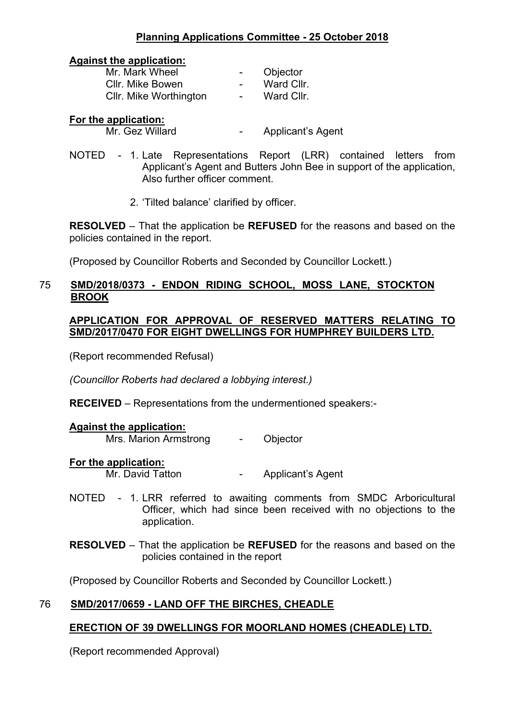# **Planning Applications Committee - 25 October 2018**

#### **Against the application:**

| Mr. Mark Wheel         | $\overline{\phantom{0}}$ | Objector   |
|------------------------|--------------------------|------------|
| Cllr. Mike Bowen       | $\blacksquare$           | Ward Cllr. |
| CIIr. Mike Worthington | $\sim$                   | Ward Cllr. |

#### **For the application:**

Mr. Gez Willard **-** Applicant's Agent

- NOTED 1. Late Representations Report (LRR) contained letters from Applicant's Agent and Butters John Bee in support of the application, Also further officer comment.
	- 2. 'Tilted balance' clarified by officer.

**RESOLVED** – That the application be **REFUSED** for the reasons and based on the policies contained in the report.

(Proposed by Councillor Roberts and Seconded by Councillor Lockett.)

### 75 **SMD/2018/0373 - ENDON RIDING SCHOOL, MOSS LANE, STOCKTON BROOK**

#### **APPLICATION FOR APPROVAL OF RESERVED MATTERS RELATING TO SMD/2017/0470 FOR EIGHT DWELLINGS FOR HUMPHREY BUILDERS LTD.**

(Report recommended Refusal)

*(Councillor Roberts had declared a lobbying interest.)*

**RECEIVED** – Representations from the undermentioned speakers:-

#### **Against the application:**

Mrs. Marion Armstrong - Objector

**For the application:**

Mr. David Tatton **-** Applicant's Agent

- NOTED 1. LRR referred to awaiting comments from SMDC Arboricultural Officer, which had since been received with no objections to the application.
- **RESOLVED** That the application be **REFUSED** for the reasons and based on the policies contained in the report

(Proposed by Councillor Roberts and Seconded by Councillor Lockett.)

# 76 **SMD/2017/0659 - LAND OFF THE BIRCHES, CHEADLE**

# **ERECTION OF 39 DWELLINGS FOR MOORLAND HOMES (CHEADLE) LTD.**

(Report recommended Approval)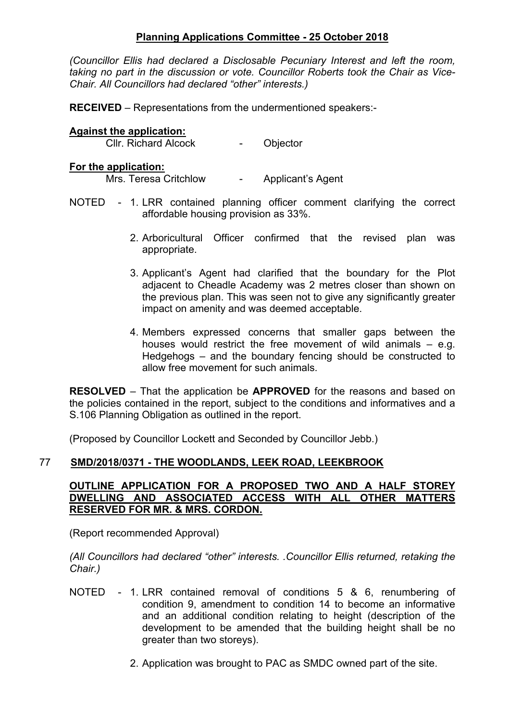### **Planning Applications Committee - 25 October 2018**

*(Councillor Ellis had declared a Disclosable Pecuniary Interest and left the room, taking no part in the discussion or vote. Councillor Roberts took the Chair as Vice-Chair. All Councillors had declared "other" interests.)*

**RECEIVED** – Representations from the undermentioned speakers:-

#### **Against the application:**

Cllr. Richard Alcock - Objector

#### **For the application:**

Mrs. Teresa Critchlow - Applicant's Agent

- NOTED 1. LRR contained planning officer comment clarifying the correct affordable housing provision as 33%.
	- 2. Arboricultural Officer confirmed that the revised plan was appropriate.
	- 3. Applicant's Agent had clarified that the boundary for the Plot adjacent to Cheadle Academy was 2 metres closer than shown on the previous plan. This was seen not to give any significantly greater impact on amenity and was deemed acceptable.
	- 4. Members expressed concerns that smaller gaps between the houses would restrict the free movement of wild animals – e.g. Hedgehogs – and the boundary fencing should be constructed to allow free movement for such animals.

**RESOLVED** – That the application be **APPROVED** for the reasons and based on the policies contained in the report, subject to the conditions and informatives and a S.106 Planning Obligation as outlined in the report.

(Proposed by Councillor Lockett and Seconded by Councillor Jebb.)

#### 77 **SMD/2018/0371 - THE WOODLANDS, LEEK ROAD, LEEKBROOK**

#### **OUTLINE APPLICATION FOR A PROPOSED TWO AND A HALF STOREY DWELLING AND ASSOCIATED ACCESS WITH ALL OTHER MATTERS RESERVED FOR MR. & MRS. CORDON.**

(Report recommended Approval)

*(All Councillors had declared "other" interests. .Councillor Ellis returned, retaking the Chair.)*

- NOTED 1. LRR contained removal of conditions 5 & 6, renumbering of condition 9, amendment to condition 14 to become an informative and an additional condition relating to height (description of the development to be amended that the building height shall be no greater than two storeys).
	- 2. Application was brought to PAC as SMDC owned part of the site.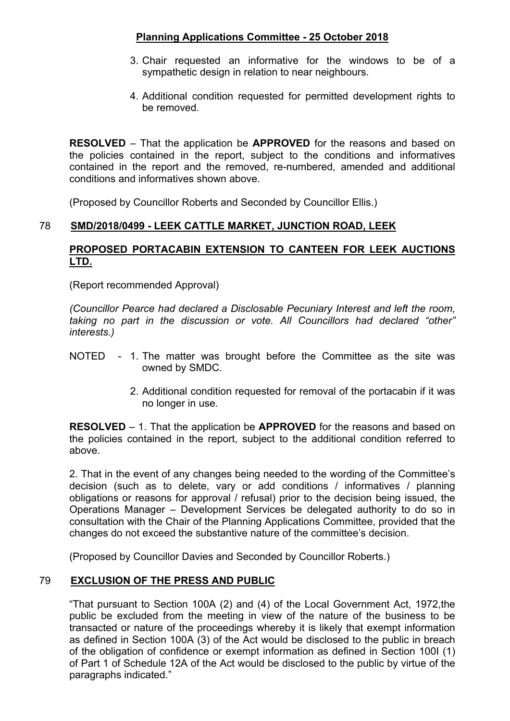# **Planning Applications Committee - 25 October 2018**

- 3. Chair requested an informative for the windows to be of a sympathetic design in relation to near neighbours.
- 4. Additional condition requested for permitted development rights to be removed.

**RESOLVED** – That the application be **APPROVED** for the reasons and based on the policies contained in the report, subject to the conditions and informatives contained in the report and the removed, re-numbered, amended and additional conditions and informatives shown above.

(Proposed by Councillor Roberts and Seconded by Councillor Ellis.)

# 78 **SMD/2018/0499 - LEEK CATTLE MARKET, JUNCTION ROAD, LEEK**

# **PROPOSED PORTACABIN EXTENSION TO CANTEEN FOR LEEK AUCTIONS LTD.**

(Report recommended Approval)

*(Councillor Pearce had declared a Disclosable Pecuniary Interest and left the room, taking no part in the discussion or vote. All Councillors had declared "other" interests.)*

- NOTED 1. The matter was brought before the Committee as the site was owned by SMDC.
	- 2. Additional condition requested for removal of the portacabin if it was no longer in use.

**RESOLVED** – 1. That the application be **APPROVED** for the reasons and based on the policies contained in the report, subject to the additional condition referred to above.

2. That in the event of any changes being needed to the wording of the Committee's decision (such as to delete, vary or add conditions / informatives / planning obligations or reasons for approval / refusal) prior to the decision being issued, the Operations Manager – Development Services be delegated authority to do so in consultation with the Chair of the Planning Applications Committee, provided that the changes do not exceed the substantive nature of the committee's decision.

(Proposed by Councillor Davies and Seconded by Councillor Roberts.)

# 79 **EXCLUSION OF THE PRESS AND PUBLIC**

"That pursuant to Section 100A (2) and (4) of the Local Government Act, 1972,the public be excluded from the meeting in view of the nature of the business to be transacted or nature of the proceedings whereby it is likely that exempt information as defined in Section 100A (3) of the Act would be disclosed to the public in breach of the obligation of confidence or exempt information as defined in Section 100I (1) of Part 1 of Schedule 12A of the Act would be disclosed to the public by virtue of the paragraphs indicated."